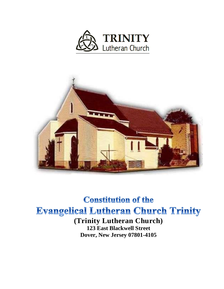



# **Constitution of the Evangelical Lutheran Church Trinity (Trinity Lutheran Church)**

**123 East Blackwell Street Dover, New Jersey 07801-4105**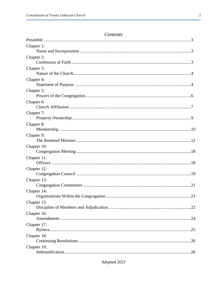## Contents

| Chapter 1:  |  |
|-------------|--|
|             |  |
| Chapter 2:  |  |
|             |  |
| Chapter 3:  |  |
|             |  |
| Chapter 4:  |  |
|             |  |
| Chapter 5:  |  |
|             |  |
| Chapter 6:  |  |
|             |  |
| Chapter 7:  |  |
|             |  |
| Chapter 8:  |  |
|             |  |
| Chapter 9:  |  |
|             |  |
| Chapter 10: |  |
|             |  |
| Chapter 11: |  |
|             |  |
| Chapter 12: |  |
|             |  |
| Chapter 13: |  |
|             |  |
| Chapter 14: |  |
|             |  |
| Chapter 15: |  |
|             |  |
| Chapter 16: |  |
|             |  |
| Chapter 17: |  |
|             |  |
| Chapter 18: |  |
|             |  |
| Chapter 19: |  |
|             |  |

Adopted 2021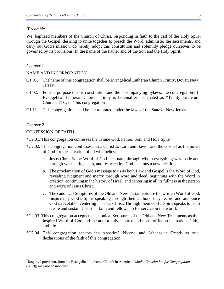#### *\*Preamble*

We, baptized members of the Church of Christ, responding in faith to the call of the Holy Spirit through the Gospel, desiring to unite together to preach the Word, administer the sacraments, and carry out God's mission, do hereby adopt this constitution and solemnly pledge ourselves to be governed by its provisions. In the name of the Father and of the Son and the Holy Spirit.

#### *Chapter 1*

#### NAME AND INCORPORATION

- C1.01. The name of this congregation shall be Evangelical Lutheran Church Trinity, Dover, New Jersey.
- C1.02. For the purpose of this constitution and the accompanying bylaws, the congregation of Evangelical Lutheran Church Trinity is hereinafter designated as "Trinity Lutheran Church, TLC, or 'this congregation'."
- C1.11. This congregation shall be incorporated under the laws of the State of New Jersey.

#### *Chapter 2*

#### CONFESSION OF FAITH

- \*C2.01. This congregation confesses the Triune God, Father, Son, and Holy Spirit.
- \*C2.02. This congregation confesses Jesus Christ as Lord and Savior and the Gospel as the power of God for the salvation of all who believe.
	- a. Jesus Christ is the Word of God incarnate, through whom everything was made and through whose life, death, and resurrection God fashions a new creation.
	- b. The proclamation of God's message to us as both Law and Gospel is the Word of God, revealing judgment and mercy through word and deed, beginning with the Word in creation, continuing in the history of Israel, and centering in all its fullness in the person and work of Jesus Christ.
	- c. The canonical Scriptures of the Old and New Testaments are the written Word of God. Inspired by God's Spirit speaking through their authors, they record and announce God's revelation centering in Jesus Christ. Through them God's Spirit speaks to us to create and sustain Christian faith and fellowship for service in the world.
- \*C2.03. This congregation accepts the canonical Scriptures of the Old and New Testaments as the inspired Word of God and the authoritative source and norm of its proclamation, faith, and life.
- \*C2.04. This congregation accepts the Apostles', Nicene, and Athanasian Creeds as true declarations of the faith of this congregation.

<sup>\*</sup>Required provision, from the Evangelical Lutheran Church in America's *Model Constitution for Congregations*  (2019); may not be modified.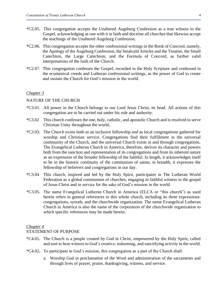- \*C2.05. This congregation accepts the Unaltered Augsburg Confession as a true witness to the Gospel, acknowledging as one with it in faith and doctrine all churches that likewise accept the teachings of the Unaltered Augsburg Confession.
- \*C2.06. This congregation accepts the other confessional writings in the Book of Concord, namely, the Apology of the Augsburg Confession, the Smalcald Articles and the Treatise, the Small Catechism, the Large Catechism, and the Formula of Concord, as further valid interpretations of the faith of the Church.
- \*C2.07. This congregation confesses the Gospel, recorded in the Holy Scripture and confessed in the ecumenical creeds and Lutheran confessional writings, as the power of God to create and sustain the Church for God's mission in the world.

#### NATURE OF THE CHURCH

- \*C3.01. All power in the Church belongs to our Lord Jesus Christ, its head. All actions of this congregation are to be carried out under his rule and authority.
- \*C3.02 This church confesses the one, holy, catholic, and apostolic Church and is resolved to serve Christian Unity throughout the world**.**
- \*C3.03. The Church exists both as an inclusive fellowship and as local congregations gathered for worship and Christian service. Congregations find their fulfillment in the universal community of the Church, and the universal Church exists in and through congregations. The Evangelical Lutheran Church in America, therefore, derives its character and powers both from the sanction and representation of its congregations and from its inherent nature as an expression of the broader fellowship of the faithful. In length, it acknowledges itself to be in the historic continuity of the communion of saints; in breadth, it expresses the fellowship of believers and congregations in our day.
- \*C3.04 This church, inspired and led by the Holy Spirit, participates in The Lutheran World Federation as a global communion of churches, engaging in faithful witness to the gospel of Jesus Christ and in service for the sake of God's mission in the world.
- \*C3.05. The name Evangelical Lutheran Church in America (ELCA or "this church") as used herein refers in general references to this whole church, including its three expressions: congregations, synods, and the churchwide organization. The name Evangelical Lutheran Church in America is also the name of the corporation of the churchwide organization to which specific references may be made herein**.**

## *Chapter 4*

## STATEMENT OF PURPOSE

- \*C4.01**.** The Church is a people created by God in Christ, empowered by the Holy Spirit, called and sent to bear witness to God's creative, redeeming, and sanctifying activity in the world.
- \*C4.02**.** To participate in God's mission, this congregation as a part of the Church shall:
	- a. Worship God in proclamation of the Word and administration of the sacraments and through lives of prayer, praise, thanksgiving, witness, and service.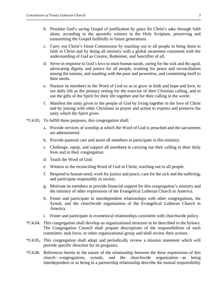- b. Proclaim God's saving Gospel of justification by grace for Christ's sake through faith alone, according to the apostolic witness in the Holy Scripture, preserving and transmitting the Gospel faithfully to future generations.
- c. Carry out Christ's Great Commission by reaching out to all people to bring them to faith in Christ and by doing all ministry with a global awareness consistent with the understanding of God as Creator, Redeemer, and Sanctifier of all.
- d. Serve in response to God's love to meet human needs, caring for the sick and the aged, advocating dignity and justice for all people, working for peace and reconciliation among the nations, and standing with the poor and powerless, and committing itself to their needs.
- e. Nurture its members in the Word of God so as to grow in faith and hope and love, to see daily life as the primary setting for the exercise of their Christian calling, and to use the gifts of the Spirit for their life together and for their calling in the world.
- f. Manifest the unity given to the people of God by living together in the love of Christ and by joining with other Christians in prayer and action to express and preserve the unity which the Spirit gives.
- \*C4.03**.** To fulfill these purposes, this congregation shall:
	- a. Provide services of worship at which the Word of God is preached and the sacraments are administered.
	- b. Provide pastoral care and assist all members to participate in this ministry.
	- c. Challenge, equip, and support all member**s** in carrying out their calling in their daily lives and in their congregation.
	- d. Teach the Word of God.
	- e. Witness to the reconciling Word of God in Christ, reaching out to all people.
	- f. Respond to human need, work for justice and peace, care for the sick and the suffering, and participate responsibly in society.
	- g. Motivate its members to provide financial support for this congregation's ministry and the ministry of other expressions of the Evangelical Lutheran Church in America.
	- h. Foster and participate in interdependent relationships with other congregations, the Synod, and the churchwide organization of the Evangelical Lutheran Church in America.
	- i. Foster and participate in ecumenical relationships consistent with churchwide policy.
- \*C4.04**.** This congregation shall develop an organizational structure to be described in the bylaws. The Congregation Council shall prepare descriptions of the responsibilities of each committee, task force, or other organizational group and shall review their actions.
- \*C4.05**.** This congregation shall adopt and periodically review a mission statement which will provide specific direction for its programs.
- \*C4.06. References herein to the nature of the relationship between the three expressions of this church—congregations, synods, and the churchwide organization—as being interdependent or as being in a partnership relationship describe the mutual responsibility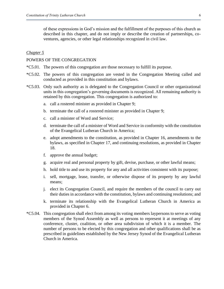of these expressions in God's mission and the fulfillment of the purposes of this church as described in this chapter, and do not imply or describe the creation of partnerships, coventures, agencies, or other legal relationships recognized in civil law.

## *Chapter 5*

#### POWERS OF THE CONGREGATION

- \*C5.01. The powers of this congregation are those necessary to fulfill its purpose.
- \*C5.02. The powers of this congregation are vested in the Congregation Meeting called and conducted as provided in this constitution and bylaws.
- \*C5.03. Only such authority as is delegated to the Congregation Council or other organizational units in this congregation's governing documents is recognized. All remaining authority is retained by this congregation. This congregation is authorized to:
	- a. call a rostered minister as provided in Chapter 9;
	- b. terminate the call of a rostered minister as provided in Chapter 9;
	- c. call a minister of Word and Service;
	- d. terminate the call of a minister of Word and Service in conformity with the constitution of the Evangelical Lutheran Church in America;
	- e. adopt amendments to the constitution, as provided in Chapter 16, amendments to the bylaws, as specified in Chapter 17, and continuing resolutions, as provided in Chapter 18.
	- f. approve the annual budget;
	- g. acquire real and personal property by gift, devise, purchase, or other lawful means;
	- h. hold title to and use its property for any and all activities consistent with its purpose;
	- i. sell, mortgage, lease, transfer, or otherwise dispose of its property by any lawful means;
	- j. elect its Congregation Council, and require the members of the council to carry out their duties in accordance with the constitution, bylaws and continuing resolutions; and
	- k. terminate its relationship with the Evangelical Lutheran Church in America as provided in Chapter 6.
- \*C5.04. This congregation shall elect from among its voting members laypersons to serve as voting members of the Synod Assembly as well as persons to represent it at meetings of any conference, cluster, coalition, or other area subdivision of which it is a member. The number of persons to be elected by this congregation and other qualifications shall be as prescribed in guidelines established by the New Jersey Synod of the Evangelical Lutheran Church in America.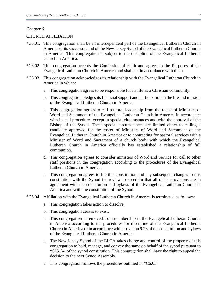## CHURCH AFFILIATION

- \*C6.01. This congregation shall be an interdependent part of the Evangelical Lutheran Church in America or its successor, and of the New Jersey Synod of the Evangelical Lutheran Church in America. This congregation is subject to the discipline of the Evangelical Lutheran Church in America.
- \*C6.02. This congregation accepts the Confession of Faith and agrees to the Purposes of the Evangelical Lutheran Church in America and shall act in accordance with them.
- \*C6.03. This congregation acknowledges its relationship with the Evangelical Lutheran Church in America in which:
	- a. This congregation agrees to be responsible for its life as a Christian community.
	- b. This congregation pledges its financial support and participation in the life and mission of the Evangelical Lutheran Church in America.
	- c. This congregation agrees to call pastoral leadership from the roster of Ministers of Word and Sacrament of the Evangelical Lutheran Church in America in accordance with its call procedures except in special circumstances and with the approval of the Bishop of the Synod. These special circumstances are limited either to calling a candidate approved for the roster of Ministers of Word and Sacrament of the Evangelical Lutheran Church in America or to contracting for pastoral services with a Minister of Word and Sacrament of a church body with which the Evangelical Lutheran Church in America officially has established a relationship of full communion.
	- d. This congregation agrees to consider ministers of Word and Service for call to other staff positions in the congregation according to the procedures of the Evangelical Lutheran Church in America.
	- e. This congregation agrees to file this constitution and any subsequent changes to this constitution with the Synod for review to ascertain that all of its provisions are in agreement with the constitution and bylaws of the Evangelical Lutheran Church in America and with the constitution of the Synod.
- \*C6.04. Affiliation with the Evangelical Lutheran Church in America is terminated as follows:
	- a. This congregation takes action to dissolve.
	- b. This congregation ceases to exist.
	- c. This congregation is removed from membership in the Evangelical Lutheran Church in America according to the procedures for discipline of the Evangelical Lutheran Church in America or in accordance with provision 9.23 of the constitution and bylaws of the Evangelical Lutheran Church in America.
	- d. The New Jersey Synod of the ELCA takes charge and control of the property of this congregation to hold, manage, and convey the same on behalf of the synod pursuant to †S13.24. of the synod constitution. This congregation shall have the right to appeal the decision to the next Synod Assembly.
	- e. This congregation follows the procedures outlined in \*C6.05.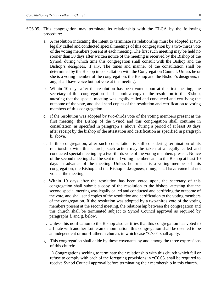- \*C6.05. This congregation may terminate its relationship with the ELCA by the following procedure:
	- a. A resolution indicating the intent to terminate its relationship must be adopted at two legally called and conducted special meetings of this congregation by a two-thirds vote of the voting members present at each meeting. The first such meeting may be held no sooner than 30 days after written notice of the meeting is received by the Bishop of the Synod, during which time this congregation shall consult with the Bishop and the Bishop's designees, if any. The times and manner of the consultation shall be determined by the Bishop in consultation with the Congregation Council. Unless he or she is a voting member of the congregation, the Bishop and the Bishop's designees, if any, shall have voice but not vote at the meeting.
	- b. Within 10 days after the resolution has been voted upon at the first meeting, the secretary of this congregation shall submit a copy of the resolution to the Bishop, attesting that the special meeting was legally called and conducted and certifying the outcome of the vote, and shall send copies of the resolution and certification to voting members of this congregation.
	- c. If the resolution was adopted by two-thirds vote of the voting members present at the first meeting, the Bishop of the Synod and this congregation shall continue in consultation, as specified in paragraph a. above, during a period of at least 90 days after receipt by the bishop of the attestation and certification as specified in paragraph b. above.
	- d. If this congregation, after such consultation is still considering termination of its relationship with this church, such action may be taken at a legally called and conducted special meeting by a two-thirds vote of the voting members present. Notice of the second meeting shall be sent to all voting members and to the Bishop at least 10 days in advance of the meeting. Unless he or she is a voting member of this congregation, the Bishop and the Bishop's designees, if any, shall have voice but not vote at the meeting.
	- e. Within 10 days after the resolution has been voted upon, the secretary of this congregation shall submit a copy of the resolution to the bishop, attesting that the second special meeting was legally called and conducted and certifying the outcome of the vote, and shall send copies of the resolution and certification to the voting members of the congregation. If the resolution was adopted by a two-thirds vote of the voting members present at the second meeting, the relationship between the congregation and this church shall be terminated subject to Synod Council approval as required by paragraphs f. and g. below.
	- f. Unless this notification to the Bishop also certifies that this congregation has voted to affiliate with another Lutheran denomination, this congregation shall be deemed to be an independent or non-Lutheran church, in which case \*C7.04 shall apply.
	- g. This congregation shall abide by these covenants by and among the three expressions of this church:

1) Congregations seeking to terminate their relationship with this church which fail or refuse to comply with each of the foregoing provisions in \*C6.05. shall be required to receive Synod Council approval before terminating their membership in this church.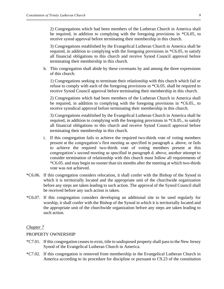2) Congregations which had been members of the Lutheran Church in America shall be required, in addition to complying with the foregoing provisions in \*C6.05, to receive synod approval before terminating their membership in this church.

3) Congregations established by the Evangelical Lutheran Church in America shall be required, in addition to complying with the foregoing provisions in \*C6.05, to satisfy all financial obligations to this church and receive Synod Council approval before terminating their membership in this church.

h. This congregation shall abide by these covenants by and among the three expressions of this church:

1) Congregations seeking to terminate their relationship with this church which fail or refuse to comply with each of the foregoing provisions in \*C6.05. shall be required to receive Synod Council approval before terminating their membership in this church.

2) Congregations which had been members of the Lutheran Church in America shall be required, in addition to complying with the foregoing provisions in \*C6.05., to receive synodical approval before terminating their membership in this church.

3) Congregations established by the Evangelical Lutheran Church in America shall be required, in addition to complying with the foregoing provisions in \*C6.05., to satisfy all financial obligations to this church and receive Synod Council approval before terminating their membership in this church.

- i. If this congregation fails to achieve the required two-thirds vote of voting members present at the congregation's first meeting as specified in paragraph a. above, or fails to achieve the required two-thirds vote of voting members present at this congregation's second meeting as specified in paragraph d. above, another attempt to consider termination of relationship with this church must follow all requirements of \*C6.05. and may begin no sooner than six months after the meeting at which two-thirds vote was not achieved.
- \*C6.06. If this congregation considers relocation, it shall confer with the Bishop of the Synod in which it is territorially located and the appropriate unit of the churchwide organization before any steps are taken leading to such action. The approval of the Synod Council shall be received before any such action is taken.
- \*C6.07. If this congregation considers developing an additional site to be used regularly for worship, it shall confer with the Bishop of the Synod in which it is territorially located and the appropriate unit of the churchwide organization before any steps are taken leading to such action.

## *Chapter 7*

#### PROPERTY OWNERSHIP

- \*C7.01. If this congregation ceases to exist, title to undisposed property shall pass to the New Jersey Synod of the Evangelical Lutheran Church in America.
- \*C7.02. If this congregation is removed from membership in the Evangelical Lutheran Church in America according to its procedure for discipline or pursuant to C9.23 of the constitution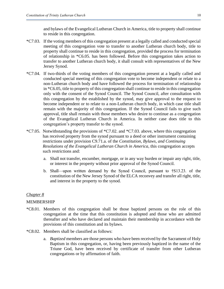and bylaws of the Evangelical Lutheran Church in America, title to property shall continue to reside in this congregation.

- \*C7.03. If the voting members of this congregation present at a legally called and conducted special meeting of this congregation vote to transfer to another Lutheran church body, title to property shall continue to reside in this congregation, provided the process for termination of relationship in \*C6.05. has been followed. Before this congregation takes action to transfer to another Lutheran church body, it shall consult with representatives of the New Jersey Synod.
- \*C7.04. If two-thirds of the voting members of this congregation present at a legally called and conducted special meeting of this congregation vote to become independent or relate to a non-Lutheran church body and have followed the process for termination of relationship in \*C6.05, title to property of this congregation shall continue to reside in this congregation only with the consent of the Synod Council. The Synod Council, after consultation with this congregation by the established by the synod, may give approval to the request to become independent or to relate to a non-Lutheran church body, in which case title shall remain with the majority of this congregation. If the Synod Council fails to give such approval, title shall remain with those members who desire to continue as a congregation of the Evangelical Lutheran Church in America. In neither case does title to this congregation's property transfer to the synod.
- $^{\ast}C7.05$ . Notwithstanding the provisions of  $^{\ast}C7.02$  and  $^{\ast}C7.03$  above, where this congregation has received property from the synod pursuant to a deed or other instrument containing restrictions under provision C9.71.a. of the *Constitution, Bylaws, and Continuing Resolutions of the Evangelical Lutheran Church in America*, this congregation accepts such restrictions and:
	- a. Shall not transfer, encumber, mortgage, or in any way burden or impair any right, title, or interest in the property without prior approval of the Synod Council.
	- b. Shall—upon written demand by the Synod Council, pursuant to †S13.23. of the constitution of the New Jersey Synod of the ELCA reconvey and transfer all right, title, and interest in the property to the synod.

## *Chapter 8*

## MEMBERSHIP

- \*C8.01. Members of this congregation shall be those baptized persons on the role of this congregation at the time that this constitution is adopted and those who are admitted thereafter and who have declared and maintain their membership in accordance with the provisions of this constitution and its bylaws.
- \*C8.02. Members shall be classified as follows:
	- a. *Baptized* members are those persons who have been received by the Sacrament of Holy Baptism in this congregation, or, having been previously baptized in the name of the Triune God, have been received by certificate of transfer from other Lutheran congregations or by affirmation of faith.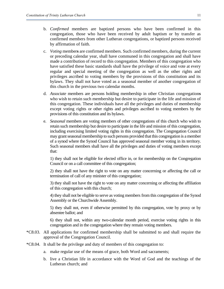- b. *Confirmed* members are baptized persons who have been confirmed in this congregation, those who have been received by adult baptism or by transfer as confirmed members from other Lutheran congregations, or baptized persons received by affirmation of faith.
- c. *Voting* member**s** are confirmed members. Such confirmed members, during the current or preceding calendar year, shall have communed in this congregation and shall have made a contribution of record to this congregation. Members of this congregation who have satisfied these basic standards shall have the privilege of voice and vote at every regular and special meeting of the congregation as well as the other rights and privileges ascribed to voting members by the provisions of this constitution and its bylaws. They shall not have voted as a seasonal member of another congregation of this church in the previous two calendar months.
- d. *Associate* members are persons holding membership in other Christian congregation**s** who wish to retain such membership but desire to participate in the life and mission of this congregation. These individuals have all the privileges and duties of membership except voting rights or other rights and privileges ascribed to voting members by the provisions of this constitution and its bylaws.
- e. *Seasonal* members are voting members of other congregations of this church who wish to retain such membership but desire to participate in the life and mission of this congregation, including exercising limited voting rights in this congregation. The Congregation Council may grant seasonal membership to such persons provided that this congregation is a member of a synod where the Synod Council has approved seasonal member voting in its territory. Such seasonal members shall have all the privileges and duties of voting members except that:

1) they shall not be eligible for elected office in, or for membership on the Congregation Council or on a call committee of this congregation;

2) they shall not have the right to vote on any matter concerning or affecting the call or termination of call of any minister of this congregation;

3) they shall not have the right to vote on any matter concerning or affecting the affiliation of this congregation with this church;

4) they shall not be eligible to serve as voting members from this congregation of the Synod Assembly or the Churchwide Assembly.

5) they shall not, even if otherwise permitted by this congregation, vote by proxy or by absentee ballot; and

6) they shall not, within any two-calendar month period, exercise voting rights in this congregation and in the congregation where they remain voting members.

- \*C8.03. All applications for confirmed membership shall be submitted to and shall require the approval of the Congregation Council.
- \*C8.04. It shall be the privilege and duty of members of this congregation to:
	- a. make regular use of the means of grace, both Word and sacraments;
	- b. live a Christian life in accordance with the Word of God and the teachings of the Lutheran church; and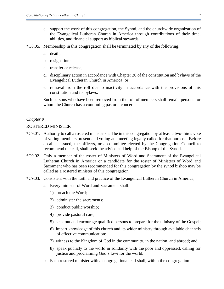- c. support the work of this congregation, the Synod, and the churchwide organization of the Evangelical Lutheran Church in America through contributions of their time, abilities, and financial support as biblical stewards.
- \*C8.05. Membership in this congregation shall be terminated by any of the following:
	- a. death;
	- b. resignation;
	- c. transfer or release;
	- d. disciplinary action in accordance with Chapter 20 of the constitution and bylaws of the Evangelical Lutheran Church in America; or
	- e. removal from the roll due to inactivity in accordance with the provisions of this constitution and its bylaws.

Such persons who have been removed from the roll of members shall remain persons for whom the Church has a continuing pastoral concern.

## *Chapter 9*

## ROSTERED MINISTER

- \*C9.01. Authority to call a rostered minister shall be in this congregation by at least a two-thirds vote of voting members present and voting at a meeting legally called for that purpose. Before a call is issued, the officers, or a committee elected by the Congregation Council to recommend the call, shall seek the advice and help of the Bishop of the Synod.
- \*C9.02. Only a member of the roster of Ministers of Word and Sacrament of the Evangelical Lutheran Church in America or a candidate for the roster of Ministers of Word and Sacrament who has been recommended for this congregation by the synod bishop may be called as a rostered minister of this congregation.
- \*C9.03. Consistent with the faith and practice of the Evangelical Lutheran Church in America,
	- a. Every minister of Word and Sacrament shall:
		- 1) preach the Word;
		- 2) administer the sacraments;
		- 3) conduct public worship;
		- 4) provide pastoral care;
		- 5) seek out and encourage qualified persons to prepare for the ministry of the Gospel;
		- 6) impart knowledge of this church and its wider ministry through available channels of effective communication;
		- 7) witness to the Kingdom of God in the community, in the nation, and abroad; and
		- 8) speak publicly to the world in solidarity with the poor and oppressed, calling for justice and proclaiming God's love for the world.
	- b. Each rostered minister with a congregational call shall, within the congregation: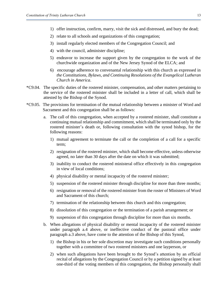- 1) offer instruction, confirm, marry, visit the sick and distressed, and bury the dead;
- 2) relate to all schools and organizations of this congregation;
- 3) install regularly elected members of the Congregation Council; and
- 4) with the council, administer discipline;
- 5) endeavor to increase the support given by the congregation to the work of the churchwide organization and of the New Jersey Synod of the ELCA; and
- 6) encourage adherence to convenantal relationship with this church as expressed in *the Constitutions, Bylaws, and Continuing Resolutions of the Evangelical Lutheran Church in America*.
- \*C9.04. The specific duties of the rostered minister, compensation, and other matters pertaining to the service of the rostered minister shall be included in a letter of call, which shall be attested by the Bishop of the Synod.
- \*C9.05. The provisions for termination of the mutual relationship between a minister of Word and Sacrament and this congregation shall be as follows:
	- a. The call of this congregation, when accepted by a rostered minister, shall constitute a continuing mutual relationship and commitment, which shall be terminated only by the rostered minister's death or, following consultation with the synod bishop, for the following reasons:
		- 1) mutual agreement to terminate the call or the completion of a call for a specific term;
		- 2) resignation of the rostered minister, which shall become effective, unless otherwise agreed, no later than 30 days after the date on which it was submitted;
		- 3) inability to conduct the rostered ministeral office effectively in this congregation in view of local conditions;
		- 4) physical disability or mental incapacity of the rostered minister;
		- 5) suspension of the rostered minister through discipline for more than three months;
		- 6) resignation or removal of the rostered minister from the roster of Ministers of Word and Sacrament of this church;
		- 7) termination of the relationship between this church and this congregation;
		- 8) dissolution of this congregation or the termination of a parish arrangement; or
		- 9) suspension of this congregation through discipline for more than six months.
	- b. When allegations of physical disability or mental incapacity of the rostered minister under paragraph a.4 above, or ineffective conduct of the pastoral office under paragraph a.3 above, have come to the attention of the Bishop of this Synod,
		- 1) the Bishop in his or her sole discretion may investigate such conditions personally together with a committee of two rostered ministers and one layperson, or
		- 2) when such allegations have been brought to the Synod's attention by an official recital of allegations by the Congregation Council or by a petition signed by at least one-third of the voting members of this congregation, the Bishop personally shall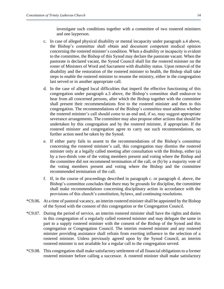investigate such conditions together with a committee of two rostered ministers and one layperson.

- c. In case of alleged physical disability or mental incapacity under paragraph a.4 above, the Bishop's committee shall obtain and document competent medical opinion concerning the rostered minister's condition. When a disability or incapacity is evident to the committee, the Bishop of this Synod may declare the pastorate vacant. When the pastorate is declared vacant, the Synod Council shall list the rostered minister on the roster of Ministers of Word and Sacrament with disability status. Upon removal of the disability and the restoration of the rostered minister to health, the Bishop shall take steps to enable the rostered minister to resume the ministry, either in the congregation last served or in another appropriate call.
- d. In the case of alleged local difficulties that imperil the effective functioning of this congregation under paragraph a.3 above, the Bishop's committee shall endeavor to hear from all concerned persons, after which the Bishop together with the committee shall present their recommendations first to the rostered minister and then to this congregation. The recommendations of the Bishop's committee must address whether the rostered minister's call should come to an end and, if so, may suggest appropriate severance arrangements. The committee may also propose other actions that should be undertaken by this congregation and by the rostered minister, if appropriate. If the rostered minister and congregation agree to carry out such recommendations, no further action need be taken by the Synod.
- e. If either party fails to assent to the recommendations of the Bishop's committee concerning the rostered minister's call, this congregation may dismiss the rostered minister only at a legally called meeting after consultation with the Bishop, either (a) by a two-thirds vote of the voting members present and voting where the Bishop and the committee did not recommend termination of the call, or (b) by a majority vote of the voting members present and voting where the Bishop and the committee recommended termination of the call.
- f. If, in the course of proceedings described in paragraph c. or paragraph d. above, the Bishop's committee concludes that there may be grounds for discipline, the committee shall make recommendations concerning disciplinary action in accordance with the provisions of this church's constitution, bylaws, and continuing resolutions.
- \*C9.06. At a time of pastoral vacancy, an interim rostered minister shall be appointed by the Bishop of the Synod with the consent of this congregation or the Congregation Council.
- \*C9.07. During the period of service, an interim rostered minister shall have the rights and duties in this congregation of a regularly called rostered minister and may delegate the same in part to a supply rostered minister with the consent of the Bishop of the Synod and this congregation or Congregation Council. The interim rostered minister and any rostered minister providing assistance shall refrain from exerting influence in the selection of a rostered minister. Unless previously agreed upon by the Synod Council, an interim rostered minister is not available for a regular call to the congregation served.
- \*C9.08. This congregation shall make satisfactory settlement of all financial obligations to a former rostered minister before calling a successor. A rostered minister shall make satisfactory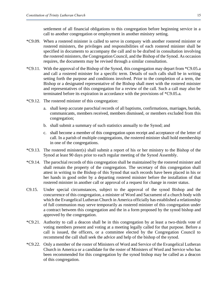settlement of all financial obligations to this congregation before beginning service in a call to another congregation or employment in another ministry setting.

- \*C9.09. When a rostered minister is called to serve in company with another rostered minister or rostered ministers, the privileges and responsibilities of each rostered minister shall be specified in documents to accompany the call and to be drafted in consultation involving the rostered ministers, the Congregation Council, and the Bishop of the Synod. As occasion requires, the documents may be revised through a similar consultation.
- \*C9.11. With the approval of the Bishop of the Synod, this congregation may depart from \*C9.05.a and call a rostered minister for a specific term. Details of such calls shall be in writing setting forth the purpose and conditions involved. Prior to the completion of a term, the Bishop or a designated representative of the Bishop shall meet with the rostered minister and representatives of this congregation for a review of the call. Such a call may also be terminated before its expiration in accordance with the provisions of \*C9.05.a.
- \*C9.12. The rostered minister of this congregation:
	- a. shall keep accurate parochial records of all baptisms, confirmations, marriages, burials, communicants, members received, members dismissed, or members excluded from this congregation;
	- b. shall submit a summary of such statistics annually to the Synod; and
	- c. shall become a member of this congregation upon receipt and acceptance of the letter of call. In a parish of multiple congregations, the rostered minister shall hold membership in one of the congregations.
- \*C9.13. The rostered minister(s) shall submit a report of his or her ministry to the Bishop of the Synod at least 90 days prior to each regular meeting of the Synod Assembly.
- \*C9.14. The parochial records of this congregation shall be maintained by the rostered minister and shall remain the property of the congregation. The secretary of this congregation shall attest in writing to the Bishop of this Synod that such records have been placed in his or her hands in good order by a departing rostered minister before the installation of that rostered minister in another call or approval of a request for change in roster status.
- C9.15. Under special circumstances, subject to the approval of the synod Bishop and the concurrence of this congregation, a minister of Word and Sacrament of a church body with which the Evangelical Lutheran Church in America officially has established a relationship of full communion may serve temporarily as rostered minister of this congregation under a contract between this congregation and the in a form proposed by the synod bishop and approved by the congregation.
- \*C9.21. Authority to call a deacon shall be in this congregation by at least a two-thirds vote of voting members present and voting at a meeting legally called for that purpose. Before a call is issued, the officers, or a committee elected by the Congregation Council to recommend the call shall seek the advice and help of the bishop of the synod.
- \*C9.22. Only a member of the roster of Ministers of Word and Service of the Evangelical Lutheran Church in America or a candidate for the roster of Ministers of Word and Service who has been recommended for this congregation by the synod bishop may be called as a deacon of this congregation.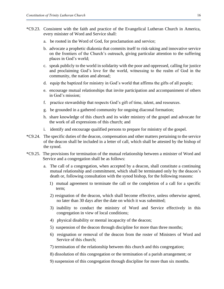- \*C9.23. Consistent with the faith and practice of the Evangelical Lutheran Church in America, every minister of Word and Service shall:
	- a. be rooted in the Word of God, for proclamation and service;
	- b. advocate a prophetic diakonia that commits itself to risk-taking and innovative service on the frontiers of the Church's outreach, giving particular attention to the suffering places in God's world;
	- c. speak publicly to the world in solidarity with the poor and oppressed, calling for justice and proclaiming God's love for the world, witnessing to the realm of God in the community, the nation and abroad;
	- d. equip the baptized for ministry in God's world that affirms the gifts of all people;
	- e. encourage mutual relationships that invite participation and accompaniment of others in God's mission;
	- f. practice stewardship that respects God's gift of time, talent, and resources.
	- g. be grounded in a gathered community for ongoing diaconal formation;
	- h. share knowledge of this church and its wider ministry of the gospel and advocate for the work of all expressions of this church; and
	- i. identify and encourage qualified persons to prepare for ministry of the gospel.
- \*C9.24. The specific duties of the deacon, compensation and other matters pertaining to the service of the deacon shall be included in a letter of call, which shall be attested by the bishop of the synod.
- \*C9.25. The provisions for termination of the mutual relationship between a minister of Word and Service and a congregation shall be as follows:
	- a. The call of a congregation, when accepted by a deacon, shall constitute a continuing mutual relationship and commitment, which shall be terminated only by the deacon's death or, following consultation with the synod bishop, for the following reasons:
		- 1) mutual agreement to terminate the call or the completion of a call for a specific term;
		- 2) resignation of the deacon, which shall become effective, unless otherwise agreed, no later than 30 days after the date on which it was submitted;
		- 3) inability to conduct the ministry of Word and Service effectively in this congregation in view of local conditions;
		- 4) physical disability or mental incapacity of the deacon;
		- 5) suspension of the deacon through discipline for more than three months;
		- 6) resignation or removal of the deacon from the roster of Ministers of Word and Service of this church;
		- 7) termination of the relationship between this church and this congregation;
		- 8) dissolution of this congregation or the termination of a parish arrangement; or
		- 9) suspension of this congregation through discipline for more than six months.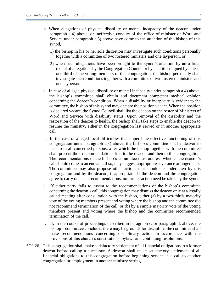- b. When allegations of physical disability or mental incapacity of the deacon under paragraph a.4) above, or ineffective conduct of the office of minister of Word and Service under paragraph a.3) above have come to the attention of the bishop of this synod,
	- 1) the bishop in his or her sole discretion may investigate such conditions personally together with a committee of two rostered ministers and one layperson, or
	- 2) when such allegations have been brought to the synod's attention by an official recital of allegations by the Congregation Council or by a petition signed by at least one-third of the voting members of this congregation, the bishop personally shall investigate such conditions together with a committee of two rostered ministers and one layperson.
- c. In case of alleged physical disability or mental incapacity under paragraph a.4) above, the bishop's committee shall obtain and document competent medical opinion concerning the deacon's condition. When a disability or incapacity is evident to the committee, the bishop of this synod may declare the position vacant. When the position is declared vacant, the Synod Council shall list the deacon on the roster of Ministers of Word and Service with disability status. Upon removal of the disability and the restoration of the deacon to health, the bishop shall take steps to enable the deacon to resume the ministry, either in the congregation last served or in another appropriate call.
- d. In the case of alleged local difficulties that imperil the effective functioning of this congregation under paragraph a.3) above, the bishop's committee shall endeavor to hear from all concerned persons, after which the bishop together with the committee shall present their recommendations first to the deacon and then to this congregation. The recommendations of the bishop's committee must address whether the deacon's call should come to an end and, if so, may suggest appropriate severance arrangements. The committee may also propose other actions that should be undertaken by this congregation and by the deacon, if appropriate. If the deacon and the congregation agree to carry out such recommendations, no further action need be taken by the synod.
- e. If either party fails to assent to the recommendations of the bishop's committee concerning the deacon's call, this congregation may dismiss the deacon only at a legally called meeting after consultation with the bishop, either (a) by a two-thirds majority vote of the voting members present and voting where the bishop and the committee did not recommend termination of the call, or (b) by a simple majority vote of the voting members present and voting where the bishop and the committee recommended termination of the call.
- f. If, in the course of proceedings described in paragraph c. or paragraph d. above, the bishop's committee concludes there may be grounds for discipline, the committee shall make recommendations concerning disciplinary action in accordance with the provisions of this church's constitutions, bylaws and continuing resolutions.
- \*C9.26. This congregation shall make satisfactory settlement of all financial obligations to a former deacon before calling a successor. A deacon shall make satisfactory settlement of all financial obligations to this congregation before beginning service in a call to another congregation or employment in another ministry setting.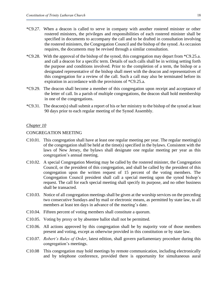- \*C9.27. When a deacon is called to serve in company with another rostered minister or other rostered ministers, the privileges and responsibilities of each rostered minister shall be specified in documents to accompany the call and to be drafted in consultation involving the rostered ministers, the Congregation Council and the bishop of the synod. As occasion requires, the documents may be revised through a similar consultation.
- \*C9.28. With the approval of the bishop of the synod, this congregation may depart from \*C9.25.a. and call a deacon for a specific term. Details of such calls shall be in writing setting forth the purpose and conditions involved. Prior to the completion of a term, the bishop or a designated representative of the bishop shall meet with the deacon and representatives of this congregation for a review of the call. Such a call may also be terminated before its expiration in accordance with the provisions of \*C9.25.a.
- \*C9.29. The deacon shall become a member of this congregation upon receipt and acceptance of the letter of call. In a parish of multiple congregations, the deacon shall hold membership in one of the congregations.
- \*C9.31. The deacon(s) shall submit a report of his or her ministry to the bishop of the synod at least 90 days prior to each regular meeting of the Synod Assembly.

## CONGREGATION MEETING

- C10.01. This congregation shall have at least one regular meeting per year. The regular meeting(s) of the congregation shall be held at the time(s) specified in the bylaws. Consistent with the laws of New Jersey, the bylaws shall designate one regular meeting per year as this congregation's annual meeting.
- C10.02. A special Congregation Meeting may be called by the rostered minister, the Congregation Council, or the president of this congregation, and shall be called by the president of this congregation upon the written request of 15 percent of the voting members. The Congregation Council president shall call a special meeting upon the synod bishop's request. The call for each special meeting shall specify its purpose, and no other business shall be transacted.
- C10.03. Notice of all congregation meetings shall be given at the worship services on the preceding two consecutive Sundays and by mail or electronic means, as permitted by state law, to all members at least ten days in advance of the meeting's date.
- C10.04. Fifteen percent of voting members shall constitute a quorum.
- C10.05. Voting by proxy or by absentee ballot shall not be permitted.
- C10.06. All actions approved by this congregation shall be by majority vote of those members present and voting, except as otherwise provided in this constitution or by state law.
- C10.07. *Robert's Rules of Order*, latest edition, shall govern parliamentary procedure during this congregation's meetings.
- C10.08 This congregation may hold meetings by remote communication, including electronically and by telephone conference, provided there is opportunity for simultaneous aural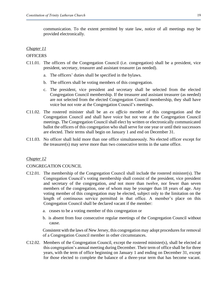communication. To the extent permitted by state law, notice of all meetings may be provided electronically.

## *Chapter 11*

## **OFFICERS**

- C11.01. The officers of the Congregation Council (i.e. congregation) shall be a president, vice president, secretary, treasurer and assistant treasurer (as needed).
	- a. The officers' duties shall be specified in the bylaws.
	- b. The officers shall be voting members of this congregation.
	- c. The president, vice president and secretary shall be selected from the elected Congregation Council membership. If the treasurer and assistant treasurer (as needed) are not selected from the elected Congregation Council membership, they shall have voice but not vote at the Congregation Council's meetings.
- C11.02. The rostered minister shall be an *ex officio* member of this congregation and the Congregation Council and shall have voice but not vote at the Congregation Council meetings. The Congregation Council shall elect by written or electronically communicated ballot the officers of this congregation who shall serve for one year or until their successors are elected. Their terms shall begin on January 1 and end on December 31.
- C11.03. No officer shall hold more than one office simultaneously. No elected officer except for the treasurer(s) may serve more than two consecutive terms in the same office.

## *Chapter 12*

## CONGREGATION COUNCIL

- C12.01. The membership of the Congregation Council shall include the rostered minister(s). The Congregation Council's voting membership shall consist of the president, vice president and secretary of the congregation, *and* not more than twelve, nor fewer than seven members of the congregation, one of whom may be younger than 18 years of age. Any voting member of this congregation may be elected, subject only to the limitation on the length of continuous service permitted in that office. A member's place on this Congregation Council shall be declared vacant if the member:
	- a. ceases to be a voting member of this congregation or
	- b. is absent from four consecutive regular meetings of the Congregation Council without cause.

Consistent with the laws of New Jersey, this congregation may adopt procedures for removal of a Congregation Council member in other circumstances.

C12.02. Members of the Congregation Council, except the rostered minister(s), shall be elected at this congregation's annual meeting during December. Their term of office shall be for three years, with the term of office beginning on January 1 and ending on December 31, except for those elected to complete the balance of a three-year term that has become vacant.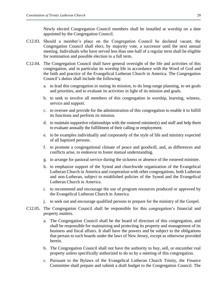Newly elected Congregation Council members shall be installed at worship on a date appointed by the Congregation Council.

- C12.03. Should a member's place on the Congregation Council be declared vacant, the Congregation Council shall elect, by majority vote, a successor until the next annual meeting. Individuals who have served less than one-half of a regular term shall be eligible for nomination and possible election to a full term.
- C12.04. The Congregation Council shall have general oversight of the life and activities of this congregation, and in particular its worship life in accordance with the Word of God and the faith and practice of the Evangelical Lutheran Church in America. The Congregation Council's duties shall include the following:
	- a. to lead this congregation in stating its mission, to do long-range planning, to set goals and priorities, and to evaluate its activities in light of its mission and goals.
	- b. to seek to involve all members of this congregation in worship, learning, witness, service and support.
	- c. to oversee and provide for the administration of this congregation to enable it to fulfill its functions and perform its mission.
	- d. to maintain supportive relationships with the rostered minister(s) and staff and help them to evaluate annually the fulfillment of their calling or employment.
	- e. to be examples individually and corporately of the style of life and ministry expected of all baptized persons.
	- f. to promote a congregational climate of peace and goodwill, and, as differences and conflicts arise, to endeavor to foster mutual understanding.
	- g. to arrange for pastoral service during the sickness or absence of the rostered minister.
	- h. to emphasize support of the Synod and churchwide organization of the Evangelical Lutheran Church in America and cooperation with other congregations, both Lutheran and non-Lutheran, subject to established policies of the Synod and the Evangelical Lutheran Church in America.
	- i. to recommend and encourage the use of program resources produced or approved by the Evangelical Lutheran Church in America.
	- j. to seek out and encourage qualified persons to prepare for the ministry of the Gospel.
- C12.05. The Congregation Council shall be responsible for this congregation's financial and property matters.
	- a. The Congregation Council shall be the board of directors of this congregation, and shall be responsible for maintaining and protecting its property and management of its business and fiscal affairs. It shall have the powers and be subject to the obligations that pertain to such boards under the laws of New Jersey, except as otherwise provided herein.
	- b. The Congregation Council shall not have the authority to buy, sell, or encumber real property unless specifically authorized to do so by a meeting of this congregation.
	- c. Pursuant to the Bylaws of the Evangelical Lutheran Church Trinity, the Finance Committee shall prepare and submit a draft budget to the Congregation Council. The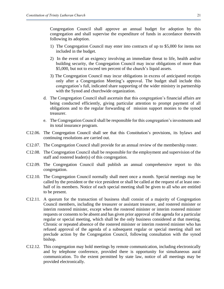Congregation Council shall approve an annual budget for adoption by this congregation and shall supervise the expenditure of funds in accordance therewith following its adoption.

- 1) The Congregation Council may enter into contracts of up to \$5,000 for items not included in the budget.
- 2) In the event of an exigency involving an immediate threat to life, health and/or building security, the Congregation Council may incur obligations of more than \$5,000, but not to exceed ten percent of the church's liquid assets.
- 3) The Congregation Council may incur obligations in excess of anticipated receipts only after a Congregation Meeting's approval. The budget shall include this congregation's full, indicated share supporting of the wider ministry in partnership with the Synod and churchwide organization.
- d. The Congregation Council shall ascertain that this congregation's financial affairs are being conducted efficiently, giving particular attention to prompt payment of all obligations and to the regular forwarding of mission support monies to the synod treasurer.
- e. The Congregation Council shall be responsible for this congregation's investments and its total insurance program.
- C12.06. The Congregation Council shall see that this Constitution's provisions, its bylaws and continuing resolutions are carried out.
- C12.07. The Congregation Council shall provide for an annual review of the membership roster.
- C12.08. The Congregation Council shall be responsible for the employment and supervision of the staff and rostered leader(s) of this congregation.
- C12.09. The Congregation Council shall publish an annual comprehensive report to this congregation.
- C12.10. The Congregation Council normally shall meet once a month. Special meetings may be called by the president or the vice president or shall be called at the request of at least onehalf of its members. Notice of each special meeting shall be given to all who are entitled to be present.
- C12.11. A quorum for the transaction of business shall consist of a majority of Congregation Council members, including the treasurer or assistant treasurer, and rostered minister or interim rostered minister, except when the rostered minister or interim rostered minister requests or consents to be absent and has given prior approval of the agenda for a particular regular or special meeting, which shall be the only business considered at that meeting. Chronic or repeated absence of the rostered minister or interim rostered minister who has refused approval of the agenda of a subsequent regular or special meeting shall not preclude action by the Congregation Council, following consultation with the synod bishop.
- C12.12. This congregation may hold meetings by remote communication, including electronically and by telephone conference, provided there is opportunity for simultaneous aural communication. To the extent permitted by state law, notice of all meetings may be provided electronically.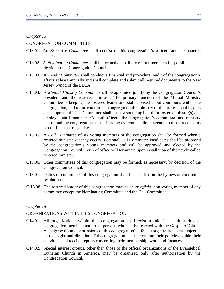## CONGREGATION COMMITTEES

- C13.01. An *Executive Committee* shall consist of this congregation's officers and the rostered leader.
- C13.02. A *Nominating Committee* shall be formed annually to recruit members for possible election to the Congregation Council.
- C13.03. An *Audit Committee* shall conduct a financial and procedural audit of the congregation's affairs at least annually and shall complete and submit all required documents to the New Jersey Synod of the ELCA.
- C13.04. A *Mutual Ministry Committee* shall be appointed jointly by the Congregation Council's president and the rostered minister. The primary function of the Mutual Ministry Committee is keeping the rostered leader and staff advised about conditions within the congregation, and to interpret to the congregation the ministry of the professional leaders and support staff. The Committee shall act as a sounding board for rostered minster(s) and employed staff members, Council officers, the congregation's committees and ministry teams, and the congregation, thus affording everyone a direct avenue to discuss concerns or conflicts that may arise.
- C13.05. A *Call Committee* of six voting members of the congregation shall be formed when a rostered minister vacancy occurs. Potential Call Committee candidates shall be proposed by the congregation's voting members and will be approved and elected by the Congregation Council. Term of office will terminate upon installation of the newly called rostered minister.
- C13.06. Other committees of this congregation may be formed, as necessary, by decision of the Congregation Council.
- C13.07. Duties of committees of this congregation shall be specified in the bylaws or continuing resolutions.
- C.13.08 The rostered leader of this congregation may be an *ex officio*, non-voting member of any committee except the Nominating Committee and the Call Committee.

## *Chapter 14*

## ORGANIZATIONS WITHIN THIS CONGREGATION

- C14.01. All organizations within this congregation shall exist to aid it in ministering to congregation members and to all persons who can be reached with the Gospel of Christ. As outgrowths and expressions of this congregation's life, the organizations are subject to its oversight and direction. This congregation shall determine their policies, guide their activities, and receive reports concerning their membership, work and finances.
- C14.02. Special interest groups, other than those of the official organizations of the Evangelical Lutheran Church in America, may be organized only after authorization by the Congregation Council.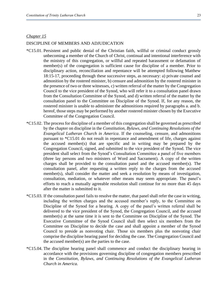## DISCIPLINE OF MEMBERS AND ADJUDICATION

- \*C15.01. Persistent and public denial of the Christian faith, willful or criminal conduct grossly unbecoming a member of the Church of Christ, continual and intentional interference with the ministry of this congregation, or willful and repeated harassment or defamation of member(s) of the congregation is sufficient cause for discipline of a member. Prior to disciplinary action, reconciliation and repentance will be attempted following Matthew 18:15-17, proceeding through these successive steps, as necessary: a) private counsel and admonition by the rostered minister, b) censure and admonition by the rostered minister in the presence of two or three witnesses, c) written referral of the matter by the Congregation Council to the vice president of the Synod, who will refer it to a consultation panel drawn from the Consultation Committee of the Synod, and d) written referral of the matter by the consultation panel to the Committee on Discipline of the Synod. If, for any reason, the rostered minister is unable to administer the admonitions required by paragraphs a. and b. hereof, those steps may be performed by another rostered minister chosen by the Executive Committee of the Congregation Council.
- \*C15.02. The process for discipline of a member of this congregation shall be governed as prescribed by the chapter on discipline in the *Constitution, Bylaws, and Continuing Resolutions of the Evangelical Lutheran Church in America*. If the counseling, censure, and admonitions pursuant to \*C15.01 do not result in repentance and amendment of life, charges against the accused member(s) that are specific and in writing may be prepared by the Congregation Council, signed, and submitted to the vice president of the Synod. The vice president shall select from the Synod's Consultation Committee a panel of five members (three lay persons and two ministers of Word and Sacrament). A copy of the written charges shall be provided to the consultation panel and the accused member(s). The consultation panel, after requesting a written reply to the charges from the accused member(s), shall consider the matter and seek a resolution by means of investigation, consultation, mediation, or whatever other means may seem appropriate. The panel's efforts to reach a mutually agreeable resolution shall continue for no more than 45 days after the matter is submitted to it.
- \*C15.03. If the consultation panel fails to resolve the matter, that panel shall refer the case in writing, including the written charges and the accused member's reply, to the Committee on Discipline of the Synod for a hearing. A copy of the panel's written referral shall be delivered to the vice president of the Synod, the Congregation Council, and the accused member(s) at the same time it is sent to the Committee on Discipline of the Synod. The Executive Committee of the Synod Council shall then select six members from the Committee on Discipline to decide the case and shall appoint a member of the Synod Council to preside as nonvoting chair. Those six members plus the nonvoting chair comprise the discipline hearing panel for deciding the case. The Congregation Council and the accused member(s) are the parties to the case.
- \*C15.04. The discipline hearing panel shall commence and conduct the disciplinary hearing in accordance with the provisions governing discipline of congregation members prescribed in the *Constitution, Bylaws, and Continuing Resolutions of the Evangelical Lutheran Church in America.*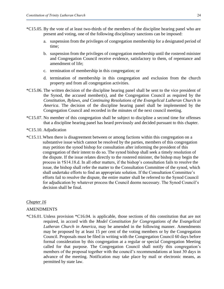- \*C15.05. By the vote of at least two-thirds of the members of the discipline hearing panel who are present and voting, one of the following disciplinary sanctions can be imposed:
	- a. suspension from the privileges of congregation membership for a designated period of time;
	- b. suspension from the privileges of congregation membership until the rostered minister and Congregation Council receive evidence, satisfactory to them, of repentance and amendment of life;
	- c. termination of membership in this congregation; or
	- d. termination of membership in this congregation and exclusion from the church property and from all congregation activities.
- \*C15.06. The written decision of the discipline hearing panel shall be sent to the vice president of the Synod, the accused member(s), and the Congregation Council as required by the *Constitution, Bylaws, and Continuing Resolutions of the Evangelical Lutheran Church in America*. The decision of the discipline hearing panel shall be implemented by the Congregation Council and recorded in the minutes of the next council meeting.
- \*C15.07. No member of this congregation shall be subject to discipline a second time for offenses that a discipline hearing panel has heard previously and decided pursuant to this chapter.
- \*C15.10. Adjudication
- \*C15.11.When there is disagreement between or among factions within this congregation on a substantive issue which cannot be resolved by the parties, members of this congregation may petition the synod bishop for consultation after informing the president of this congregation of their intent to do so. The synod bishop shall seek a timely resolution of the dispute. If the issue relates directly to the rostered minister, the bishop may begin the process in †S14.18.d. In all other matters, if the bishop's consultation fails to resolve the issue, the bishop shall refer the matter to the Consultation Committee of the synod, which shall undertake efforts to find an appropriate solution. If the Consultation Committee's efforts fail to resolve the dispute, the entire matter shall be referred to the Synod Council for adjudication by whatever process the Council deems necessary. The Synod Council's decision shall be final.

## AMENDMENTS

\*C16.01. Unless provision \*C16.04. is applicable, those sections of this constitution that are not required, in accord with the *Model Constitution for Congregations of the Evangelical Lutheran Church in America*, may be amended in the following manner. Amendments may be proposed by at least 15 per cent of the voting members or by the Congregation Council. Proposals must be filed in writing with the Congregation Council 60 days before formal consideration by this congregation at a regular or special Congregation Meeting called for that purpose. The Congregation Council shall notify this congregation's members of the proposal together with the council's recommendations at least 30 days in advance of the meeting. Notification may take place by mail or electronic means, as permitted by state law.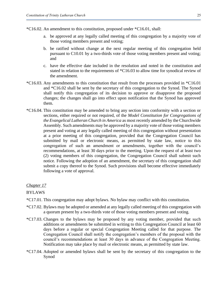\*C16.02. An amendment to this constitution, proposed under \*C16.01, shall:

- a. be approved at any legally called meeting of this congregation by a majority vote of those voting members present and voting;
- b. be ratified without change at the next regular meeting of this congregation held pursuant to C10.01 by a two-thirds vote of those voting members present and voting; and
- c. have the effective date included in the resolution and noted in the constitution and stated in relation to the requirements of \*C16.03 to allow time for synodical review of the amendment.
- \*C16.03. Any amendments to this constitution that result from the processes provided in \*C16.01 and \*C16.02 shall be sent by the secretary of this congregation to the Synod. The Synod shall notify this congregation of its decision to approve or disapprove the proposed changes; the changes shall go into effect upon notification that the Synod has approved them.
- \*C16.04. This constitution may be amended to bring any section into conformity with a section or sections, either required or not required, of the *Model Constitution for Congregations of the Evangelical Lutheran Church in America* as most recently amended by the Churchwide Assembly. Such amendments may be approved by a majority vote of those voting members present and voting at any legally called meeting of this congregation without presentation at a prior meeting of this congregation, provided that the Congregation Council has submitted by mail or electronic means, as permitted by state law, notice to this congregation of such an amendment or amendments, together with the council's recommendations, at least 30 days prior to the meeting. Upon the request of at least two (2) voting members of this congregation, the Congregation Council shall submit such notice. Following the adoption of an amendment, the secretary of this congregation shall submit a copy thereof to the Synod. Such provisions shall become effective immediately following a vote of approval.

#### *Chapter 17*

## BYLAWS

- \*C17.01. This congregation may adopt bylaws. No bylaw may conflict with this constitution.
- \*C17.02. Bylaws may be adopted or amended at any legally called meeting of this congregation with a quorum present by a two-thirds vote of those voting members present and voting.
- \*C17.03. Changes to the bylaws may be proposed by any voting member, provided that such additions or amendments be submitted in writing to this Congregation Council at least 60 days before a regular or special Congregation Meeting called for that purpose. The Congregation Council shall notify the congregation's members of the proposal with the council's recommendations at least 30 days in advance of the Congregation Meeting. Notification may take place by mail or electronic means, as permitted by state law.
- \*C17.04. Adopted or amended bylaws shall be sent by the secretary of this congregation to the Synod